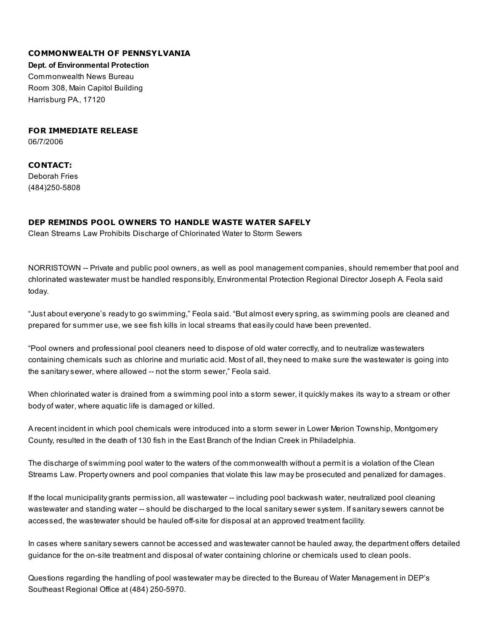## COMMONWEALTH OF PENNSYLVANIA

Dept. of Environmental Protection

Commonwealth News Bureau Room 308, Main Capitol Building Harrisburg PA., 17120

FOR IMMEDIATE RELEASE

06/7/2006

CONTACT: Deborah Fries (484)250-5808

## DEP REMINDS POOL OWNERS TO HANDLE WASTE WATER SAFELY

Clean Streams Law Prohibits Discharge of Chlorinated Water to Storm Sewers

NORRISTOWN -- Private and public pool owners, as well as pool management companies, should remember that pool and chlorinated wastewater must be handled responsibly, Environmental Protection Regional Director Joseph A. Feola said today.

"Just about everyone's ready to go swimming," Feola said. "But almost every spring, as swimming pools are cleaned and prepared for summer use, we see fish kills in local streams that easily could have been prevented.

"Pool owners and professional pool cleaners need to dispose of old water correctly, and to neutralize wastewaters containing chemicals such as chlorine and muriatic acid. Most of all, they need to make sure the wastewater is going into the sanitary sewer, where allowed -- not the storm sewer," Feola said.

When chlorinated water is drained from a swimming pool into a storm sewer, it quickly makes its way to a stream or other body of water, where aquatic life is damaged or killed.

A recent incident in which pool chemicals were introduced into a storm sewer in Lower Merion Township, Montgomery County, resulted in the death of 130 fish in the East Branch of the Indian Creek in Philadelphia.

The discharge of swimming pool water to the waters of the commonwealth without a permit is a violation of the Clean Streams Law. Property owners and pool companies that violate this law may be prosecuted and penalized for damages.

If the local municipality grants permission, all wastewater -- including pool backwash water, neutralized pool cleaning wastewater and standing water -- should be discharged to the local sanitary sewer system. If sanitary sewers cannot be accessed, the wastewater should be hauled off-site for disposal at an approved treatment facility.

In cases where sanitary sewers cannot be accessed and wastewater cannot be hauled away, the department offers detailed guidance for the on-site treatment and disposal of water containing chlorine or chemicals used to clean pools.

Questions regarding the handling of pool wastewater may be directed to the Bureau of Water Management in DEP's Southeast Regional Office at (484) 250-5970.